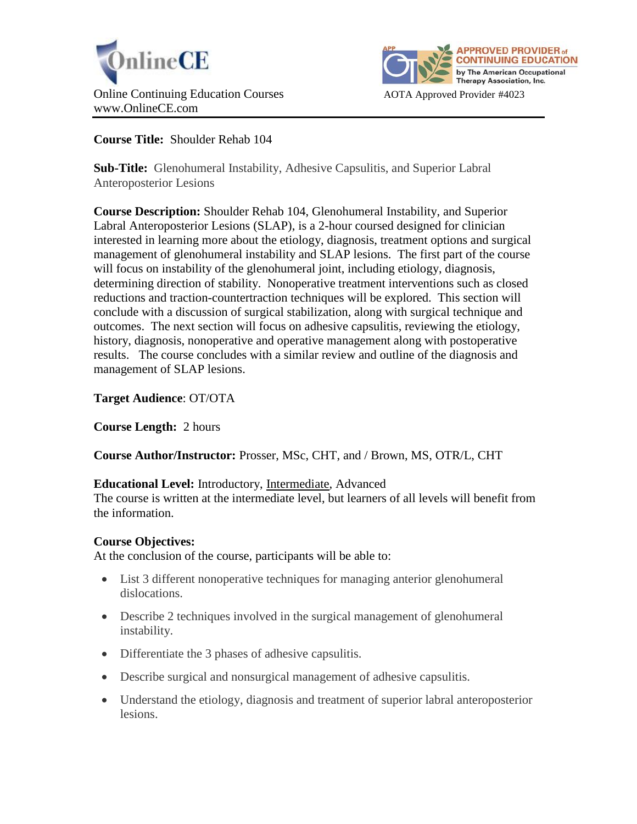



**Course Title:** Shoulder Rehab 104

**Sub-Title:** Glenohumeral Instability, Adhesive Capsulitis, and Superior Labral Anteroposterior Lesions

**Course Description:** Shoulder Rehab 104, Glenohumeral Instability, and Superior Labral Anteroposterior Lesions (SLAP), is a 2-hour coursed designed for clinician interested in learning more about the etiology, diagnosis, treatment options and surgical management of glenohumeral instability and SLAP lesions. The first part of the course will focus on instability of the glenohumeral joint, including etiology, diagnosis, determining direction of stability. Nonoperative treatment interventions such as closed reductions and traction-countertraction techniques will be explored. This section will conclude with a discussion of surgical stabilization, along with surgical technique and outcomes. The next section will focus on adhesive capsulitis, reviewing the etiology, history, diagnosis, nonoperative and operative management along with postoperative results. The course concludes with a similar review and outline of the diagnosis and management of SLAP lesions.

**Target Audience**: OT/OTA

**Course Length:** 2 hours

**Course Author/Instructor:** Prosser, MSc, CHT, and / Brown, MS, OTR/L, CHT

# **Educational Level:** Introductory, Intermediate, Advanced

The course is written at the intermediate level, but learners of all levels will benefit from the information.

# **Course Objectives:**

At the conclusion of the course, participants will be able to:

- List 3 different nonoperative techniques for managing anterior glenohumeral dislocations.
- Describe 2 techniques involved in the surgical management of glenohumeral instability.
- Differentiate the 3 phases of adhesive capsulitis.
- Describe surgical and nonsurgical management of adhesive capsulitis.
- Understand the etiology, diagnosis and treatment of superior labral anteroposterior lesions.